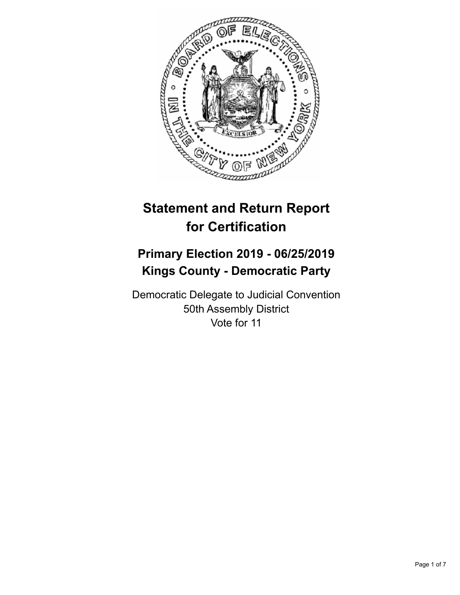

# **Statement and Return Report for Certification**

## **Primary Election 2019 - 06/25/2019 Kings County - Democratic Party**

Democratic Delegate to Judicial Convention 50th Assembly District Vote for 11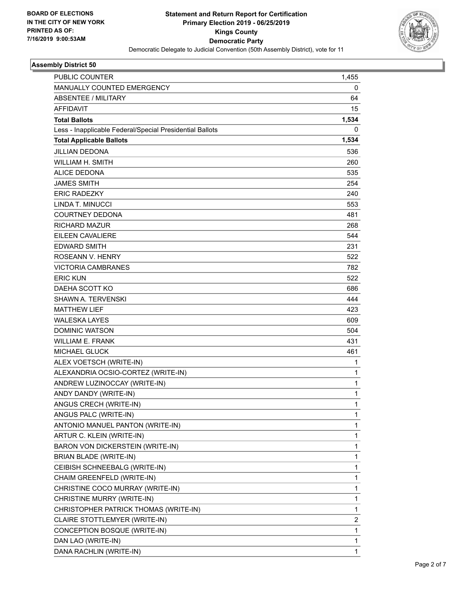

## **Assembly District 50**

| <b>PUBLIC COUNTER</b>                                    | 1,455 |
|----------------------------------------------------------|-------|
| MANUALLY COUNTED EMERGENCY                               | 0     |
| <b>ABSENTEE / MILITARY</b>                               | 64    |
| <b>AFFIDAVIT</b>                                         | 15    |
| <b>Total Ballots</b>                                     | 1,534 |
| Less - Inapplicable Federal/Special Presidential Ballots | 0     |
| <b>Total Applicable Ballots</b>                          | 1,534 |
| <b>JILLIAN DEDONA</b>                                    | 536   |
| <b>WILLIAM H. SMITH</b>                                  | 260   |
| <b>ALICE DEDONA</b>                                      | 535   |
| <b>JAMES SMITH</b>                                       | 254   |
| <b>ERIC RADEZKY</b>                                      | 240   |
| LINDA T. MINUCCI                                         | 553   |
| <b>COURTNEY DEDONA</b>                                   | 481   |
| <b>RICHARD MAZUR</b>                                     | 268   |
| <b>EILEEN CAVALIERE</b>                                  | 544   |
| <b>EDWARD SMITH</b>                                      | 231   |
| ROSEANN V. HENRY                                         | 522   |
| <b>VICTORIA CAMBRANES</b>                                | 782   |
| <b>ERIC KUN</b>                                          | 522   |
| DAEHA SCOTT KO                                           | 686   |
| SHAWN A. TERVENSKI                                       | 444   |
| <b>MATTHEW LIEF</b>                                      | 423   |
| <b>WALESKA LAYES</b>                                     | 609   |
| <b>DOMINIC WATSON</b>                                    | 504   |
| <b>WILLIAM E. FRANK</b>                                  | 431   |
| <b>MICHAEL GLUCK</b>                                     | 461   |
| ALEX VOETSCH (WRITE-IN)                                  | 1     |
| ALEXANDRIA OCSIO-CORTEZ (WRITE-IN)                       | 1     |
| ANDREW LUZINOCCAY (WRITE-IN)                             | 1     |
| ANDY DANDY (WRITE-IN)                                    | 1     |
| ANGUS CRECH (WRITE-IN)                                   | 1     |
| ANGUS PALC (WRITE-IN)                                    | 1     |
| ANTONIO MANUEL PANTON (WRITE-IN)                         | 1     |
| ARTUR C. KLEIN (WRITE-IN)                                | 1     |
| BARON VON DICKERSTEIN (WRITE-IN)                         | 1     |
| BRIAN BLADE (WRITE-IN)                                   | 1     |
| CEIBISH SCHNEEBALG (WRITE-IN)                            | 1     |
| CHAIM GREENFELD (WRITE-IN)                               | 1     |
| CHRISTINE COCO MURRAY (WRITE-IN)                         | 1     |
| CHRISTINE MURRY (WRITE-IN)                               | 1     |
| CHRISTOPHER PATRICK THOMAS (WRITE-IN)                    | 1     |
| CLAIRE STOTTLEMYER (WRITE-IN)                            | 2     |
| CONCEPTION BOSQUE (WRITE-IN)                             | 1     |
| DAN LAO (WRITE-IN)                                       | 1     |
| DANA RACHLIN (WRITE-IN)                                  | 1     |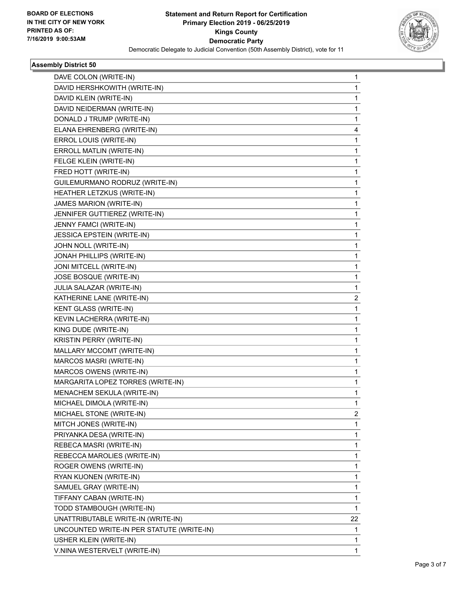

## **Assembly District 50**

| DAVE COLON (WRITE-IN)                     | 1  |
|-------------------------------------------|----|
| DAVID HERSHKOWITH (WRITE-IN)              | 1  |
| DAVID KLEIN (WRITE-IN)                    | 1  |
| DAVID NEIDERMAN (WRITE-IN)                | 1  |
| DONALD J TRUMP (WRITE-IN)                 | 1  |
| ELANA EHRENBERG (WRITE-IN)                | 4  |
| ERROL LOUIS (WRITE-IN)                    | 1  |
| ERROLL MATLIN (WRITE-IN)                  | 1  |
| FELGE KLEIN (WRITE-IN)                    | 1  |
| FRED HOTT (WRITE-IN)                      | 1  |
| GUILEMURMANO RODRUZ (WRITE-IN)            | 1  |
| HEATHER LETZKUS (WRITE-IN)                | 1  |
| JAMES MARION (WRITE-IN)                   | 1  |
| JENNIFER GUTTIEREZ (WRITE-IN)             | 1  |
| JENNY FAMCI (WRITE-IN)                    | 1  |
| <b>JESSICA EPSTEIN (WRITE-IN)</b>         | 1  |
| JOHN NOLL (WRITE-IN)                      | 1  |
| JONAH PHILLIPS (WRITE-IN)                 | 1  |
| JONI MITCELL (WRITE-IN)                   | 1  |
| JOSE BOSQUE (WRITE-IN)                    | 1  |
| JULIA SALAZAR (WRITE-IN)                  | 1  |
| KATHERINE LANE (WRITE-IN)                 | 2  |
| <b>KENT GLASS (WRITE-IN)</b>              | 1  |
| KEVIN LACHERRA (WRITE-IN)                 | 1  |
| KING DUDE (WRITE-IN)                      | 1  |
| KRISTIN PERRY (WRITE-IN)                  | 1  |
| MALLARY MCCOMT (WRITE-IN)                 | 1  |
| MARCOS MASRI (WRITE-IN)                   | 1  |
| MARCOS OWENS (WRITE-IN)                   | 1  |
| MARGARITA LOPEZ TORRES (WRITE-IN)         | 1  |
| MENACHEM SEKULA (WRITE-IN)                | 1  |
| MICHAEL DIMOLA (WRITE-IN)                 | 1  |
| MICHAEL STONE (WRITE-IN)                  | 2  |
| MITCH JONES (WRITE-IN)                    | 1  |
| PRIYANKA DESA (WRITE-IN)                  | 1  |
| REBECA MASRI (WRITE-IN)                   | 1  |
| REBECCA MAROLIES (WRITE-IN)               | 1  |
| ROGER OWENS (WRITE-IN)                    | 1  |
| RYAN KUONEN (WRITE-IN)                    | 1  |
| SAMUEL GRAY (WRITE-IN)                    | 1  |
| TIFFANY CABAN (WRITE-IN)                  | 1  |
| TODD STAMBOUGH (WRITE-IN)                 | 1  |
| UNATTRIBUTABLE WRITE-IN (WRITE-IN)        | 22 |
| UNCOUNTED WRITE-IN PER STATUTE (WRITE-IN) | 1  |
| USHER KLEIN (WRITE-IN)                    | 1  |
| V.NINA WESTERVELT (WRITE-IN)              | 1  |
|                                           |    |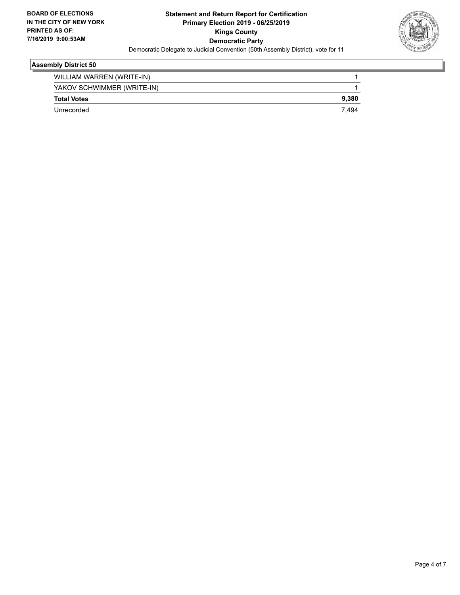

## **Assembly District 50**

| WILLIAM WARREN (WRITE-IN)  |       |
|----------------------------|-------|
| YAKOV SCHWIMMER (WRITE-IN) |       |
| <b>Total Votes</b>         | 9.380 |
| Unrecorded                 | 7.494 |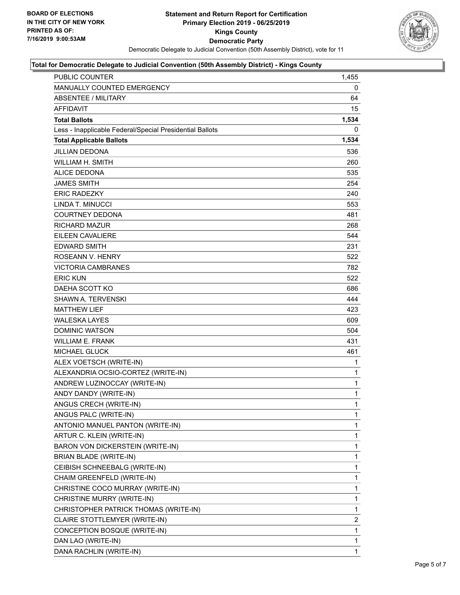

#### **Total for Democratic Delegate to Judicial Convention (50th Assembly District) - Kings County**

| <b>PUBLIC COUNTER</b>                                    | 1,455          |
|----------------------------------------------------------|----------------|
| <b>MANUALLY COUNTED EMERGENCY</b>                        | 0              |
| <b>ABSENTEE / MILITARY</b>                               | 64             |
| <b>AFFIDAVIT</b>                                         | 15             |
| <b>Total Ballots</b>                                     | 1,534          |
| Less - Inapplicable Federal/Special Presidential Ballots | 0              |
| <b>Total Applicable Ballots</b>                          | 1,534          |
| <b>JILLIAN DEDONA</b>                                    | 536            |
| WILLIAM H. SMITH                                         | 260            |
| ALICE DEDONA                                             | 535            |
| <b>JAMES SMITH</b>                                       | 254            |
| <b>ERIC RADEZKY</b>                                      | 240            |
| LINDA T. MINUCCI                                         | 553            |
| <b>COURTNEY DEDONA</b>                                   | 481            |
| <b>RICHARD MAZUR</b>                                     | 268            |
| <b>EILEEN CAVALIERE</b>                                  | 544            |
| <b>EDWARD SMITH</b>                                      | 231            |
| ROSEANN V. HENRY                                         | 522            |
| <b>VICTORIA CAMBRANES</b>                                | 782            |
| <b>ERIC KUN</b>                                          | 522            |
| DAEHA SCOTT KO                                           | 686            |
| SHAWN A. TERVENSKI                                       | 444            |
| <b>MATTHEW LIEF</b>                                      | 423            |
| <b>WALESKA LAYES</b>                                     | 609            |
| <b>DOMINIC WATSON</b>                                    | 504            |
| WILLIAM E. FRANK                                         | 431            |
| <b>MICHAEL GLUCK</b>                                     | 461            |
| ALEX VOETSCH (WRITE-IN)                                  | 1              |
| ALEXANDRIA OCSIO-CORTEZ (WRITE-IN)                       | 1              |
| ANDREW LUZINOCCAY (WRITE-IN)                             | $\mathbf{1}$   |
| ANDY DANDY (WRITE-IN)                                    | $\mathbf{1}$   |
| ANGUS CRECH (WRITE-IN)                                   | $\mathbf{1}$   |
| ANGUS PALC (WRITE-IN)                                    | 1              |
| ANTONIO MANUEL PANTON (WRITE-IN)                         | 1              |
| ARTUR C. KLEIN (WRITE-IN)                                | 1              |
| BARON VON DICKERSTEIN (WRITE-IN)                         | 1              |
| BRIAN BLADE (WRITE-IN)                                   | 1              |
| CEIBISH SCHNEEBALG (WRITE-IN)                            | 1              |
| CHAIM GREENFELD (WRITE-IN)                               | 1              |
| CHRISTINE COCO MURRAY (WRITE-IN)                         | 1              |
| CHRISTINE MURRY (WRITE-IN)                               | 1              |
| CHRISTOPHER PATRICK THOMAS (WRITE-IN)                    | 1              |
| CLAIRE STOTTLEMYER (WRITE-IN)                            | $\overline{2}$ |
| CONCEPTION BOSQUE (WRITE-IN)                             | 1              |
| DAN LAO (WRITE-IN)                                       | 1              |
| DANA RACHLIN (WRITE-IN)                                  | 1              |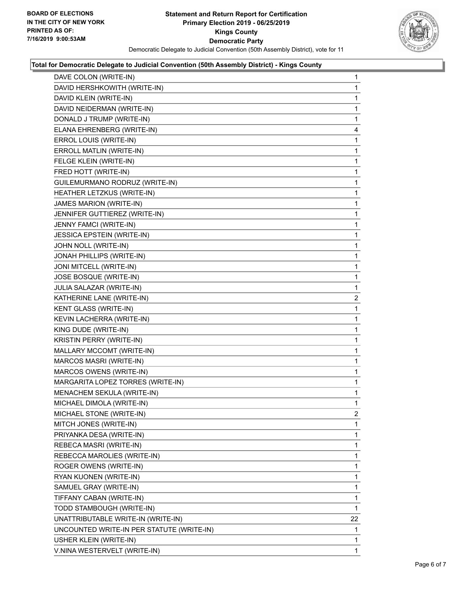

#### **Total for Democratic Delegate to Judicial Convention (50th Assembly District) - Kings County**

| DAVE COLON (WRITE-IN)                     | 1              |
|-------------------------------------------|----------------|
| DAVID HERSHKOWITH (WRITE-IN)              | 1              |
| DAVID KLEIN (WRITE-IN)                    | 1              |
| DAVID NEIDERMAN (WRITE-IN)                | 1              |
| DONALD J TRUMP (WRITE-IN)                 | 1              |
| ELANA EHRENBERG (WRITE-IN)                | 4              |
| ERROL LOUIS (WRITE-IN)                    | 1              |
| ERROLL MATLIN (WRITE-IN)                  | 1              |
| FELGE KLEIN (WRITE-IN)                    | 1              |
| FRED HOTT (WRITE-IN)                      | 1              |
| GUILEMURMANO RODRUZ (WRITE-IN)            | 1              |
| HEATHER LETZKUS (WRITE-IN)                | 1              |
| JAMES MARION (WRITE-IN)                   | 1              |
| JENNIFER GUTTIEREZ (WRITE-IN)             | 1              |
| JENNY FAMCI (WRITE-IN)                    | 1              |
| JESSICA EPSTEIN (WRITE-IN)                | 1              |
| JOHN NOLL (WRITE-IN)                      | 1              |
| JONAH PHILLIPS (WRITE-IN)                 | 1              |
| JONI MITCELL (WRITE-IN)                   | 1              |
| JOSE BOSQUE (WRITE-IN)                    | 1              |
| JULIA SALAZAR (WRITE-IN)                  | 1              |
| KATHERINE LANE (WRITE-IN)                 | $\overline{2}$ |
| <b>KENT GLASS (WRITE-IN)</b>              | 1              |
| KEVIN LACHERRA (WRITE-IN)                 | 1              |
| KING DUDE (WRITE-IN)                      | 1              |
| KRISTIN PERRY (WRITE-IN)                  | 1              |
| MALLARY MCCOMT (WRITE-IN)                 | 1              |
| MARCOS MASRI (WRITE-IN)                   | 1              |
| MARCOS OWENS (WRITE-IN)                   | 1              |
| MARGARITA LOPEZ TORRES (WRITE-IN)         | 1              |
| MENACHEM SEKULA (WRITE-IN)                | 1              |
| MICHAEL DIMOLA (WRITE-IN)                 | 1              |
| MICHAEL STONE (WRITE-IN)                  | 2              |
| MITCH JONES (WRITE-IN)                    | $\mathbf{1}$   |
| PRIYANKA DESA (WRITE-IN)                  | 1              |
| REBECA MASRI (WRITE-IN)                   | 1              |
| REBECCA MAROLIES (WRITE-IN)               | 1              |
| ROGER OWENS (WRITE-IN)                    | 1              |
| RYAN KUONEN (WRITE-IN)                    | 1              |
| SAMUEL GRAY (WRITE-IN)                    | 1              |
| TIFFANY CABAN (WRITE-IN)                  | 1              |
| TODD STAMBOUGH (WRITE-IN)                 | 1              |
| UNATTRIBUTABLE WRITE-IN (WRITE-IN)        | 22             |
| UNCOUNTED WRITE-IN PER STATUTE (WRITE-IN) | 1              |
| USHER KLEIN (WRITE-IN)                    | 1              |
| V.NINA WESTERVELT (WRITE-IN)              | $\mathbf 1$    |